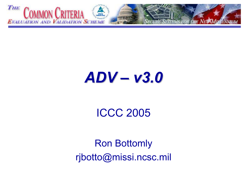

## ADV – v3.0

### ICCC 2005

Ron Bottomly rjbotto@missi.ncsc.mil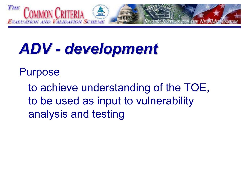

## ADV - development

#### Purpose

to achieve understanding of the TOE, to be used as input to vulnerability analysis and testing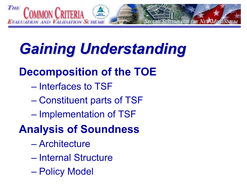

# **Gaining Understanding**

### Decomposition of the TOE

- Interfaces to TSF
- Constituent parts of TSF
- Implementation of TSF
- Analysis of Soundness
	- Architecture
	- Internal Structure
	- Policy Model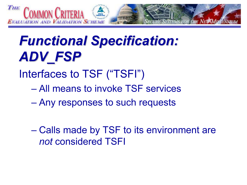

## **Functional Specification:** ADV FSP

- Interfaces to TSF ("TSFI")
	- All means to invoke TSF services
	- Any responses to such requests
	- Calls made by TSF to its environment are not considered TSFI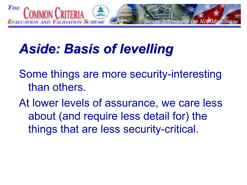

## **Aside: Basis of levelling**

Some things are more security-interesting than others.

At lower levels of assurance, we care less about (and require less detail for) the things that are less security-critical.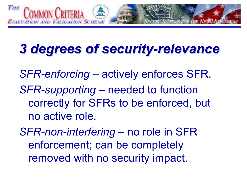

### 3 degrees of security-relevance

SFR-enforcing – actively enforces SFR. SFR-supporting – needed to function correctly for SFRs to be enforced, but no active role.

SFR-non-interfering – no role in SFR enforcement; can be completely removed with no security impact.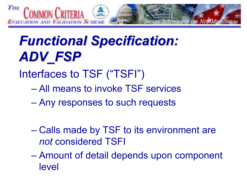

## **Functional Specification:** ADV\_FSP

- Interfaces to TSF ("TSFI")
	- All means to invoke TSF services
	- Any responses to such requests
	- Calls made by TSF to its environment are not considered TSFI
	- Amount of detail depends upon component level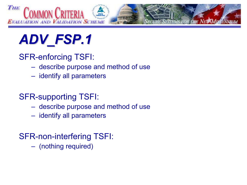

#### SFR-enforcing TSFI:

- describe purpose and method of use
- identify all parameters

#### SFR-supporting TSFI:

- describe purpose and method of use
- identify all parameters

#### SFR-non-interfering TSFI:

(nothing required)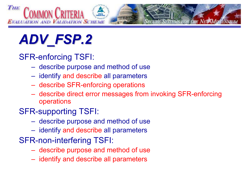

#### SFR-enforcing TSFI:

- describe purpose and method of use
- identify and describe all parameters
- describe SFR-enforcing operations
- describe direct error messages from invoking SFR-enforcing operations

#### SFR-supporting TSFI:

- describe purpose and method of use
- identify and describe all parameters
- SFR-non-interfering TSFI:
	- describe purpose and method of use
	- identify and describe all parameters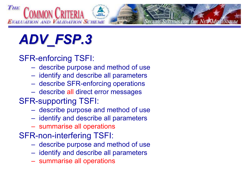

#### SFR-enforcing TSFI:

- describe purpose and method of use
- identify and describe all parameters
- describe SFR-enforcing operations
- describe all direct error messages

#### SFR-supporting TSFI:

- describe purpose and method of use
- identify and describe all parameters
- summarise all operations
- SFR-non-interfering TSFI:
	- describe purpose and method of use
	- identify and describe all parameters
	- summarise all operations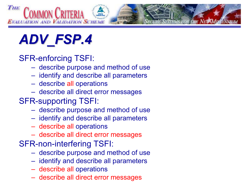

#### SFR-enforcing TSFI:

- describe purpose and method of use
- identify and describe all parameters
- describe all operations
- describe all direct error messages

#### SFR-supporting TSFI:

- describe purpose and method of use
- identify and describe all parameters
- describe all operations
- describe all direct error messages

#### SFR-non-interfering TSFI:

- describe purpose and method of use
- identify and describe all parameters
- describe all operations
- describe all direct error messages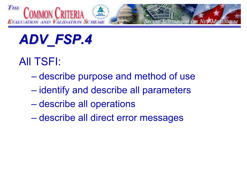

### All TSFI:

- describe purpose and method of use
- identify and describe all parameters
- describe all operations
- describe all direct error messages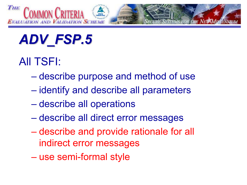

### All TSFI:

- describe purpose and method of use
- identify and describe all parameters
- describe all operations
- describe all direct error messages
- describe and provide rationale for all indirect error messages
- use semi-formal style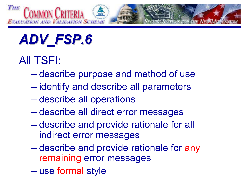

### All TSFI:

- describe purpose and method of use
- identify and describe all parameters
- describe all operations
- describe all direct error messages
- describe and provide rationale for all indirect error messages
- describe and provide rationale for any remaining error messages
- use formal style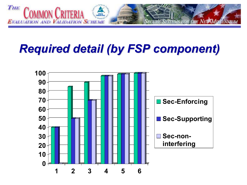

### **Required detail (by FSP component)**

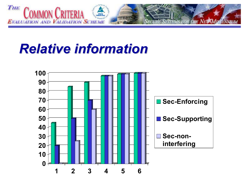

### **Relative information**

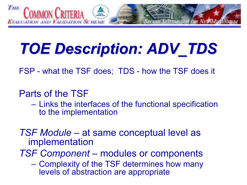

# TOE Description: ADV\_TDS

FSP - what the TSF does; TDS - how the TSF does it

#### Parts of the TSF

- Links the interfaces of the functional specification to the implementation
- TSF Module at same conceptual level as implementation

TSF Component – modules or components

 Complexity of the TSF determines how many levels of abstraction are appropriate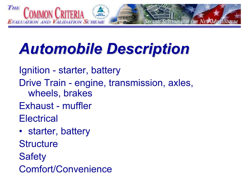

# Automobile Description Automobile Description

Ignition - starter, battery Drive Train - engine, transmission, axles, wheels, brakes

- Exhaust muffler
- **Electrical**
- starter, battery
- **Structure**
- **Safety**
- Comfort/Convenience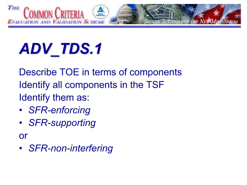

Describe TOE in terms of components Identify all components in the TSF Identify them as:

- SFR-enforcing
- SFR-supporting

or

• SFR-non-interfering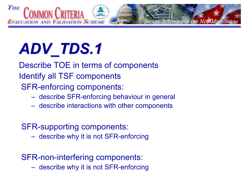

Describe TOE in terms of components Identify all TSF components SFR-enforcing components:

- describe SFR-enforcing behaviour in general
- describe interactions with other components

#### SFR-supporting components:

describe why it is not SFR-enforcing

#### SFR-non-interfering components:

describe why it is not SFR-enforcing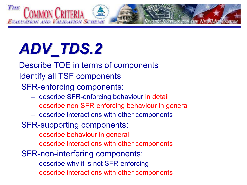

Describe TOE in terms of components Identify all TSF components SFR-enforcing components:

- describe SFR-enforcing behaviour in detail
- describe non-SFR-enforcing behaviour in general
- describe interactions with other components
- SFR-supporting components:
	- describe behaviour in general
	- describe interactions with other components
- SFR-non-interfering components:
	- describe why it is not SFR-enforcing
	- describe interactions with other components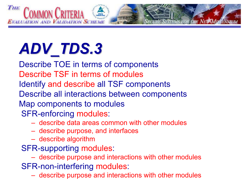

# ADV\_TDS.3 ADV\_TDS.3

Describe TOE in terms of components Describe TSF in terms of modulesIdentify and describe all TSF components Describe all interactions between components Map components to modules SFR-enforcing modules:

- describe data areas common with other modules
- describe purpose, and interfaces
- describe algorithm
- SFR-supporting modules:
	- describe purpose and interactions with other modules
- SFR-non-interfering modules:
	- describe purpose and interactions with other modules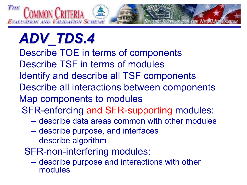

# ADV\_TDS.4 ADV\_TDS.4

- Describe TOE in terms of components
- Describe TSF in terms of modules
- Identify and describe all TSF components
- Describe all interactions between components
- Map components to modules
- SFR-enforcing and SFR-supporting modules:
	- describe data areas common with other modules
	- $\mathcal{L}_{\mathcal{A}}$ describe purpose, and interfaces
	- describe algorithm
	- SFR-non-interfering modules:
		- describe purpose and interactions with other modules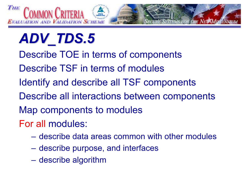

- Describe TOE in terms of components
- Describe TSF in terms of modules
- Identify and describe all TSF components
- Describe all interactions between components
- Map components to modules
- For all modules:
	- describe data areas common with other modules
	- describe purpose, and interfaces
	- describe algorithm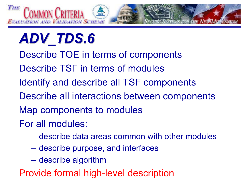

- Describe TOE in terms of components
- Describe TSF in terms of modules
- Identify and describe all TSF components
- Describe all interactions between components
- Map components to modules
- For all modules:
	- describe data areas common with other modules
	- describe purpose, and interfaces
	- describe algorithm

Provide formal high-level description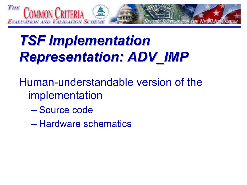

## **TSF Implementation Representation: ADV\_IMP**

- Human-understandable version of the implementation
	- Source code
	- Hardware schematics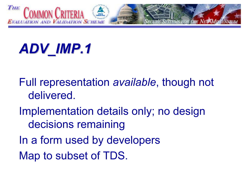

## ADV\_IMP.1

- Full representation available, though not delivered.
- Implementation details only; no design decisions remaining
- In a form used by developers
- Map to subset of TDS.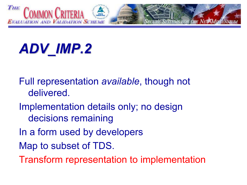

## ADV\_IMP.2

- Full representation available, though not delivered.
- Implementation details only; no design decisions remaining
- In a form used by developers
- Map to subset of TDS.
- Transform representation to implementation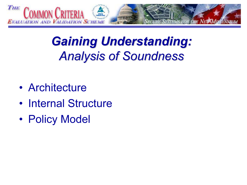

### **Gaining Understanding: Analysis of Soundness**

- Architecture
- Internal Structure
- Policy Model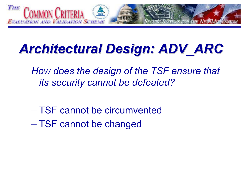

### Architectural Design: ADV\_ARC

How does the design of the TSF ensure that its security cannot be defeated?

- TSF cannot be circumvented
- TSF cannot be changed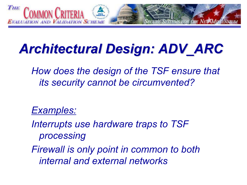

## Architectural Design: ADV\_ARC

How does the design of the TSF ensure that its security cannot be circumvented?

Examples:

Interrupts use hardware traps to TSF processing

Firewall is only point in common to both internal and external networks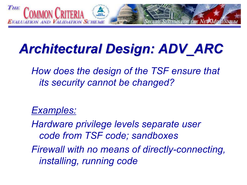

## Architectural Design: ADV\_ARC

How does the design of the TSF ensure that its security cannot be changed?

#### Examples:

Hardware privilege levels separate user code from TSF code; sandboxes

Firewall with no means of directly-connecting, installing, running code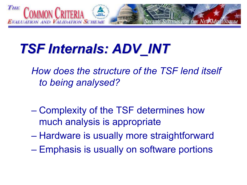

## TSF Internals: ADV\_INT

How does the structure of the TSF lend itself to being analysed?

- Complexity of the TSF determines how much analysis is appropriate
- Hardware is usually more straightforward
- Emphasis is usually on software portions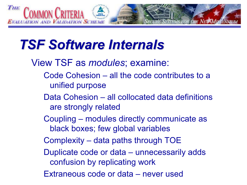

### **TSF Software Internals**

- View TSF as modules; examine:
	- Code Cohesion all the code contributes to a unified purpose
	- Data Cohesion all collocated data definitions are strongly related
	- Coupling modules directly communicate as black boxes; few global variables
	- Complexity data paths through TOE
	- Duplicate code or data unnecessarily adds confusion by replicating work
	- Extraneous code or data never used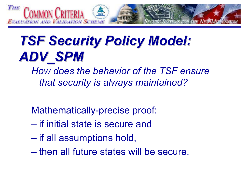

## **TSF Security Policy Model:** ADV SPM

How does the behavior of the TSF ensure that security is always maintained?

Mathematically-precise proof:

- if initial state is secure and
- if all assumptions hold,
- then all future states will be secure.